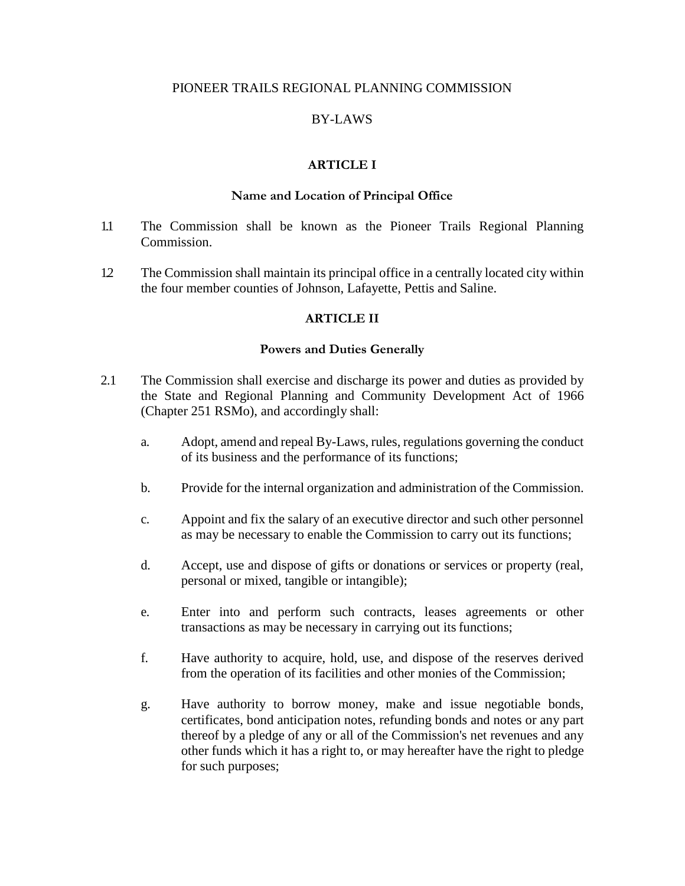### PIONEER TRAILS REGIONAL PLANNING COMMISSION

## BY-LAWS

## **ARTICLE I**

### **Name and Location of Principal Office**

- 1.1 The Commission shall be known as the Pioneer Trails Regional Planning Commission.
- 1.2 The Commission shall maintain its principal office in a centrally located city within the four member counties of Johnson, Lafayette, Pettis and Saline.

### **ARTICLE II**

### **Powers and Duties Generally**

- 2.1 The Commission shall exercise and discharge its power and duties as provided by the State and Regional Planning and Community Development Act of 1966 (Chapter 251 RSMo), and accordingly shall:
	- a. Adopt, amend and repeal By-Laws, rules, regulations governing the conduct of its business and the performance of its functions;
	- b. Provide for the internal organization and administration of the Commission.
	- c. Appoint and fix the salary of an executive director and such other personnel as may be necessary to enable the Commission to carry out its functions;
	- d. Accept, use and dispose of gifts or donations or services or property (real, personal or mixed, tangible or intangible);
	- e. Enter into and perform such contracts, leases agreements or other transactions as may be necessary in carrying out its functions;
	- f. Have authority to acquire, hold, use, and dispose of the reserves derived from the operation of its facilities and other monies of the Commission;
	- g. Have authority to borrow money, make and issue negotiable bonds, certificates, bond anticipation notes, refunding bonds and notes or any part thereof by a pledge of any or all of the Commission's net revenues and any other funds which it has a right to, or may hereafter have the right to pledge for such purposes;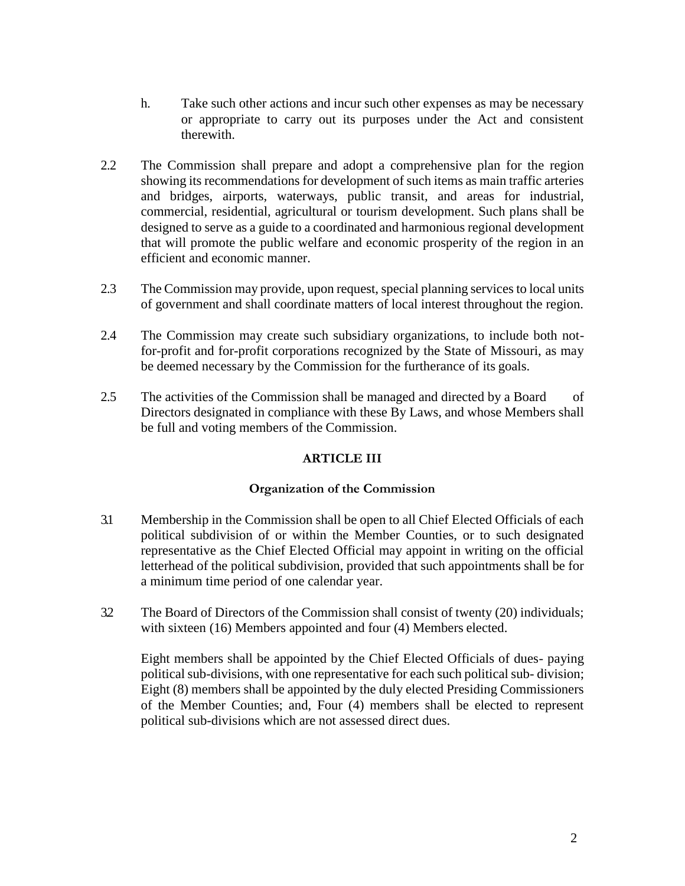- h. Take such other actions and incur such other expenses as may be necessary or appropriate to carry out its purposes under the Act and consistent therewith.
- 2.2 The Commission shall prepare and adopt a comprehensive plan for the region showing its recommendations for development of such items as main traffic arteries and bridges, airports, waterways, public transit, and areas for industrial, commercial, residential, agricultural or tourism development. Such plans shall be designed to serve as a guide to a coordinated and harmonious regional development that will promote the public welfare and economic prosperity of the region in an efficient and economic manner.
- 2.3 The Commission may provide, upon request, special planning services to local units of government and shall coordinate matters of local interest throughout the region.
- 2.4 The Commission may create such subsidiary organizations, to include both notfor-profit and for-profit corporations recognized by the State of Missouri, as may be deemed necessary by the Commission for the furtherance of its goals.
- 2.5 The activities of the Commission shall be managed and directed by a Board of Directors designated in compliance with these By Laws, and whose Members shall be full and voting members of the Commission.

# **ARTICLE III**

# **Organization of the Commission**

- 3.1 Membership in the Commission shall be open to all Chief Elected Officials of each political subdivision of or within the Member Counties, or to such designated representative as the Chief Elected Official may appoint in writing on the official letterhead of the political subdivision, provided that such appointments shall be for a minimum time period of one calendar year.
- 3.2 The Board of Directors of the Commission shall consist of twenty (20) individuals; with sixteen (16) Members appointed and four (4) Members elected.

Eight members shall be appointed by the Chief Elected Officials of dues- paying political sub-divisions, with one representative for each such political sub- division; Eight (8) members shall be appointed by the duly elected Presiding Commissioners of the Member Counties; and, Four (4) members shall be elected to represent political sub-divisions which are not assessed direct dues.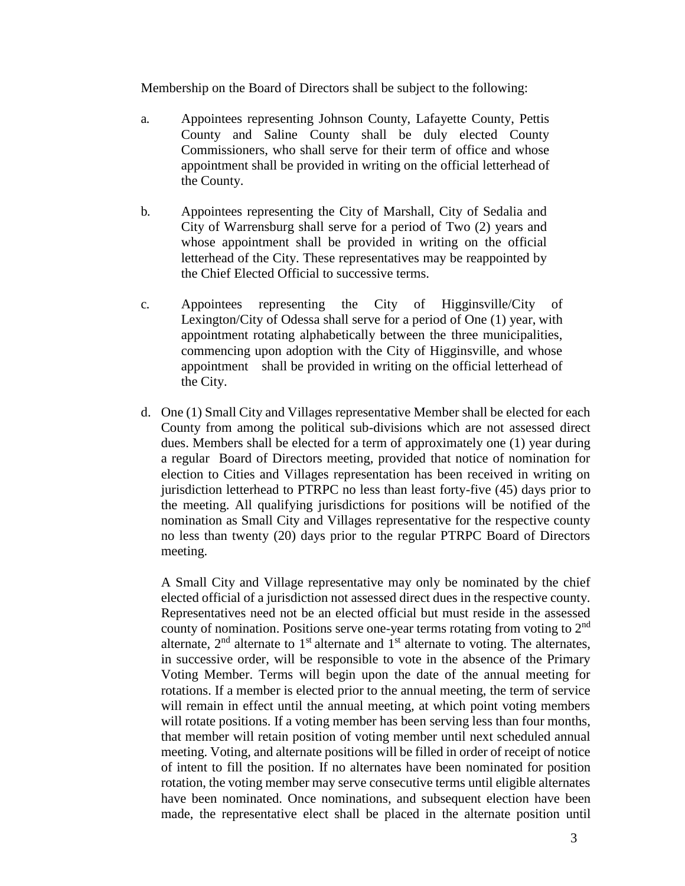Membership on the Board of Directors shall be subject to the following:

- a. Appointees representing Johnson County, Lafayette County, Pettis County and Saline County shall be duly elected County Commissioners, who shall serve for their term of office and whose appointment shall be provided in writing on the official letterhead of the County.
- b. Appointees representing the City of Marshall, City of Sedalia and City of Warrensburg shall serve for a period of Two (2) years and whose appointment shall be provided in writing on the official letterhead of the City. These representatives may be reappointed by the Chief Elected Official to successive terms.
- c. Appointees representing the City of Higginsville/City of Lexington/City of Odessa shall serve for a period of One (1) year, with appointment rotating alphabetically between the three municipalities, commencing upon adoption with the City of Higginsville, and whose appointment shall be provided in writing on the official letterhead of the City.
- d. One (1) Small City and Villages representative Member shall be elected for each County from among the political sub-divisions which are not assessed direct dues. Members shall be elected for a term of approximately one (1) year during a regular Board of Directors meeting, provided that notice of nomination for election to Cities and Villages representation has been received in writing on jurisdiction letterhead to PTRPC no less than least forty-five (45) days prior to the meeting. All qualifying jurisdictions for positions will be notified of the nomination as Small City and Villages representative for the respective county no less than twenty (20) days prior to the regular PTRPC Board of Directors meeting.

A Small City and Village representative may only be nominated by the chief elected official of a jurisdiction not assessed direct dues in the respective county. Representatives need not be an elected official but must reside in the assessed county of nomination. Positions serve one-year terms rotating from voting to 2nd alternate,  $2<sup>nd</sup>$  alternate to  $1<sup>st</sup>$  alternate and  $1<sup>st</sup>$  alternate to voting. The alternates, in successive order, will be responsible to vote in the absence of the Primary Voting Member. Terms will begin upon the date of the annual meeting for rotations. If a member is elected prior to the annual meeting, the term of service will remain in effect until the annual meeting, at which point voting members will rotate positions. If a voting member has been serving less than four months, that member will retain position of voting member until next scheduled annual meeting. Voting, and alternate positions will be filled in order of receipt of notice of intent to fill the position. If no alternates have been nominated for position rotation, the voting member may serve consecutive terms until eligible alternates have been nominated. Once nominations, and subsequent election have been made, the representative elect shall be placed in the alternate position until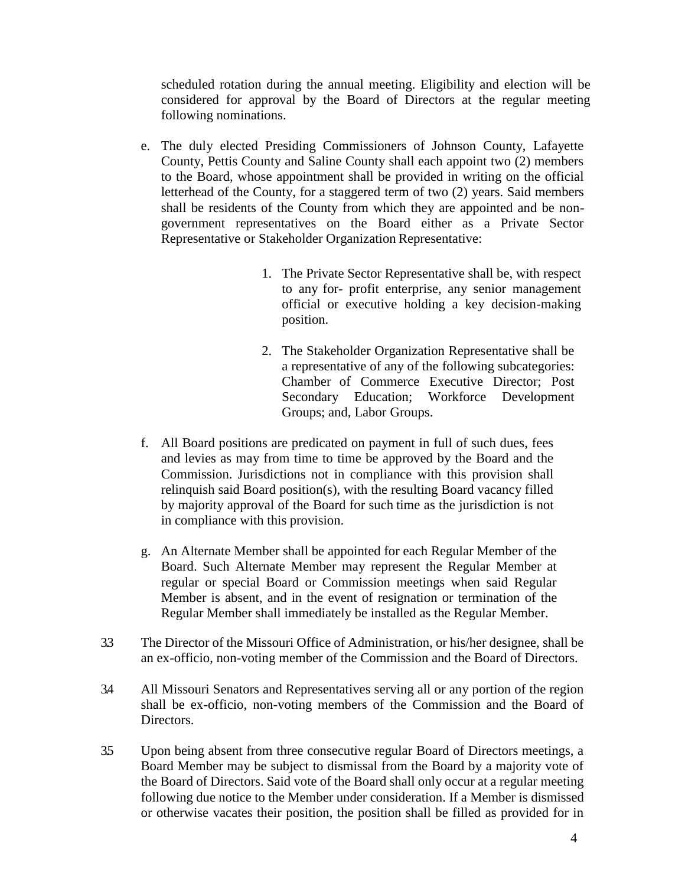scheduled rotation during the annual meeting. Eligibility and election will be considered for approval by the Board of Directors at the regular meeting following nominations.

- e. The duly elected Presiding Commissioners of Johnson County, Lafayette County, Pettis County and Saline County shall each appoint two (2) members to the Board, whose appointment shall be provided in writing on the official letterhead of the County, for a staggered term of two (2) years. Said members shall be residents of the County from which they are appointed and be nongovernment representatives on the Board either as a Private Sector Representative or Stakeholder Organization Representative:
	- 1. The Private Sector Representative shall be, with respect to any for- profit enterprise, any senior management official or executive holding a key decision-making position.
	- 2. The Stakeholder Organization Representative shall be a representative of any of the following subcategories: Chamber of Commerce Executive Director; Post Secondary Education; Workforce Development Groups; and, Labor Groups.
- f. All Board positions are predicated on payment in full of such dues, fees and levies as may from time to time be approved by the Board and the Commission. Jurisdictions not in compliance with this provision shall relinquish said Board position(s), with the resulting Board vacancy filled by majority approval of the Board for such time as the jurisdiction is not in compliance with this provision.
- g. An Alternate Member shall be appointed for each Regular Member of the Board. Such Alternate Member may represent the Regular Member at regular or special Board or Commission meetings when said Regular Member is absent, and in the event of resignation or termination of the Regular Member shall immediately be installed as the Regular Member.
- 3.3 The Director of the Missouri Office of Administration, or his/her designee, shall be an ex-officio, non-voting member of the Commission and the Board of Directors.
- 3.4 All Missouri Senators and Representatives serving all or any portion of the region shall be ex-officio, non-voting members of the Commission and the Board of Directors.
- 3.5 Upon being absent from three consecutive regular Board of Directors meetings, a Board Member may be subject to dismissal from the Board by a majority vote of the Board of Directors. Said vote of the Board shall only occur at a regular meeting following due notice to the Member under consideration. If a Member is dismissed or otherwise vacates their position, the position shall be filled as provided for in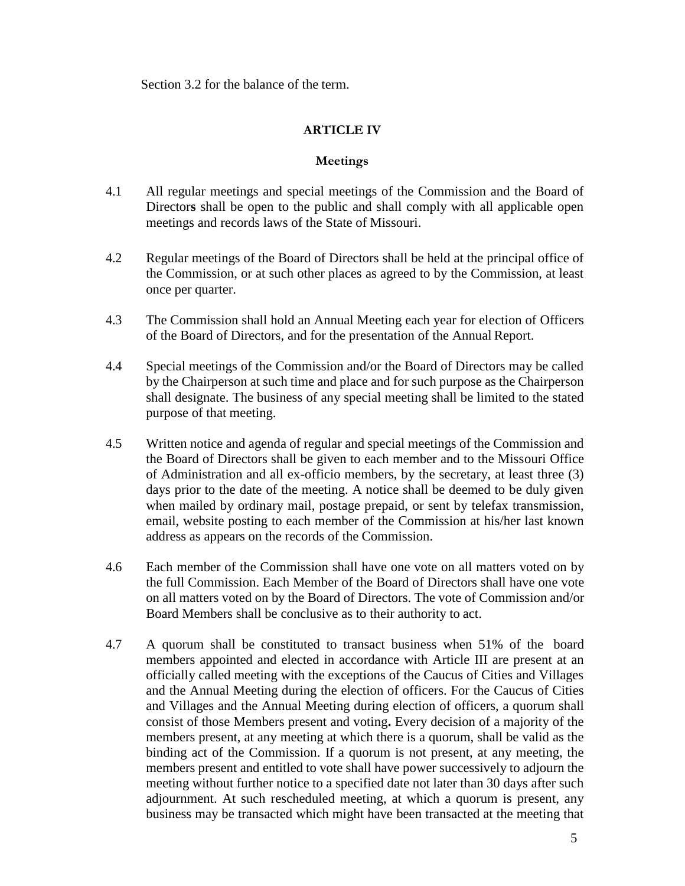Section 3.2 for the balance of the term.

## **ARTICLE IV**

## **Meetings**

- 4.1 All regular meetings and special meetings of the Commission and the Board of Director**s** shall be open to the public and shall comply with all applicable open meetings and records laws of the State of Missouri.
- 4.2 Regular meetings of the Board of Directors shall be held at the principal office of the Commission, or at such other places as agreed to by the Commission, at least once per quarter.
- 4.3 The Commission shall hold an Annual Meeting each year for election of Officers of the Board of Directors, and for the presentation of the Annual Report.
- 4.4 Special meetings of the Commission and/or the Board of Directors may be called by the Chairperson at such time and place and for such purpose as the Chairperson shall designate. The business of any special meeting shall be limited to the stated purpose of that meeting.
- 4.5 Written notice and agenda of regular and special meetings of the Commission and the Board of Directors shall be given to each member and to the Missouri Office of Administration and all ex-officio members, by the secretary, at least three (3) days prior to the date of the meeting. A notice shall be deemed to be duly given when mailed by ordinary mail, postage prepaid, or sent by telefax transmission, email, website posting to each member of the Commission at his/her last known address as appears on the records of the Commission.
- 4.6 Each member of the Commission shall have one vote on all matters voted on by the full Commission. Each Member of the Board of Directors shall have one vote on all matters voted on by the Board of Directors. The vote of Commission and/or Board Members shall be conclusive as to their authority to act.
- 4.7 A quorum shall be constituted to transact business when 51% of the board members appointed and elected in accordance with Article III are present at an officially called meeting with the exceptions of the Caucus of Cities and Villages and the Annual Meeting during the election of officers. For the Caucus of Cities and Villages and the Annual Meeting during election of officers, a quorum shall consist of those Members present and voting**.** Every decision of a majority of the members present, at any meeting at which there is a quorum, shall be valid as the binding act of the Commission. If a quorum is not present, at any meeting, the members present and entitled to vote shall have power successively to adjourn the meeting without further notice to a specified date not later than 30 days after such adjournment. At such rescheduled meeting, at which a quorum is present, any business may be transacted which might have been transacted at the meeting that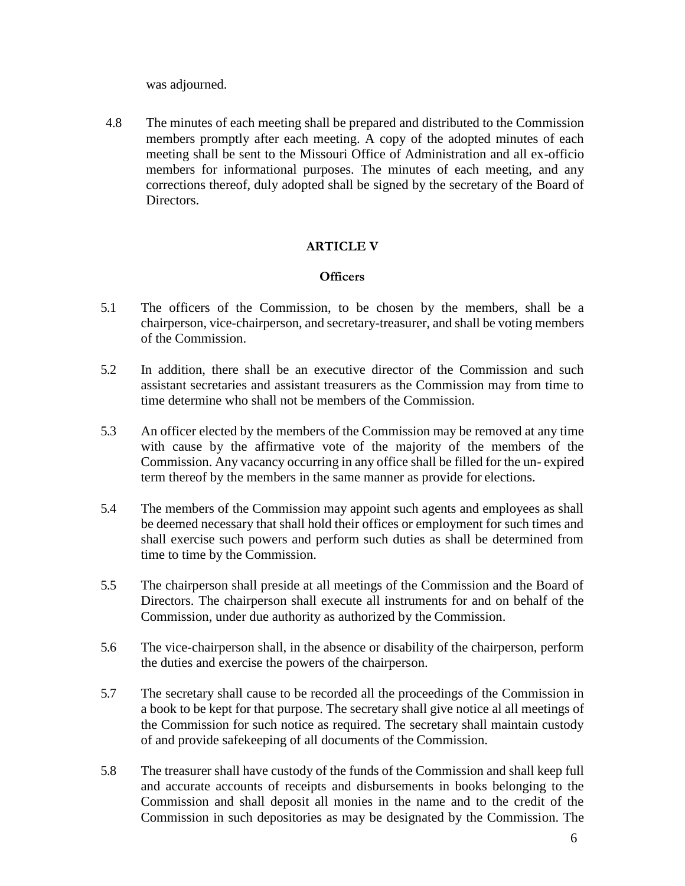was adjourned.

4.8 The minutes of each meeting shall be prepared and distributed to the Commission members promptly after each meeting. A copy of the adopted minutes of each meeting shall be sent to the Missouri Office of Administration and all ex-officio members for informational purposes. The minutes of each meeting, and any corrections thereof, duly adopted shall be signed by the secretary of the Board of Directors.

# **ARTICLE V**

### **Officers**

- 5.1 The officers of the Commission, to be chosen by the members, shall be a chairperson, vice-chairperson, and secretary-treasurer, and shall be voting members of the Commission.
- 5.2 In addition, there shall be an executive director of the Commission and such assistant secretaries and assistant treasurers as the Commission may from time to time determine who shall not be members of the Commission.
- 5.3 An officer elected by the members of the Commission may be removed at any time with cause by the affirmative vote of the majority of the members of the Commission. Any vacancy occurring in any office shall be filled for the un- expired term thereof by the members in the same manner as provide for elections.
- 5.4 The members of the Commission may appoint such agents and employees as shall be deemed necessary that shall hold their offices or employment for such times and shall exercise such powers and perform such duties as shall be determined from time to time by the Commission.
- 5.5 The chairperson shall preside at all meetings of the Commission and the Board of Directors. The chairperson shall execute all instruments for and on behalf of the Commission, under due authority as authorized by the Commission.
- 5.6 The vice-chairperson shall, in the absence or disability of the chairperson, perform the duties and exercise the powers of the chairperson.
- 5.7 The secretary shall cause to be recorded all the proceedings of the Commission in a book to be kept for that purpose. The secretary shall give notice al all meetings of the Commission for such notice as required. The secretary shall maintain custody of and provide safekeeping of all documents of the Commission.
- 5.8 The treasurer shall have custody of the funds of the Commission and shall keep full and accurate accounts of receipts and disbursements in books belonging to the Commission and shall deposit all monies in the name and to the credit of the Commission in such depositories as may be designated by the Commission. The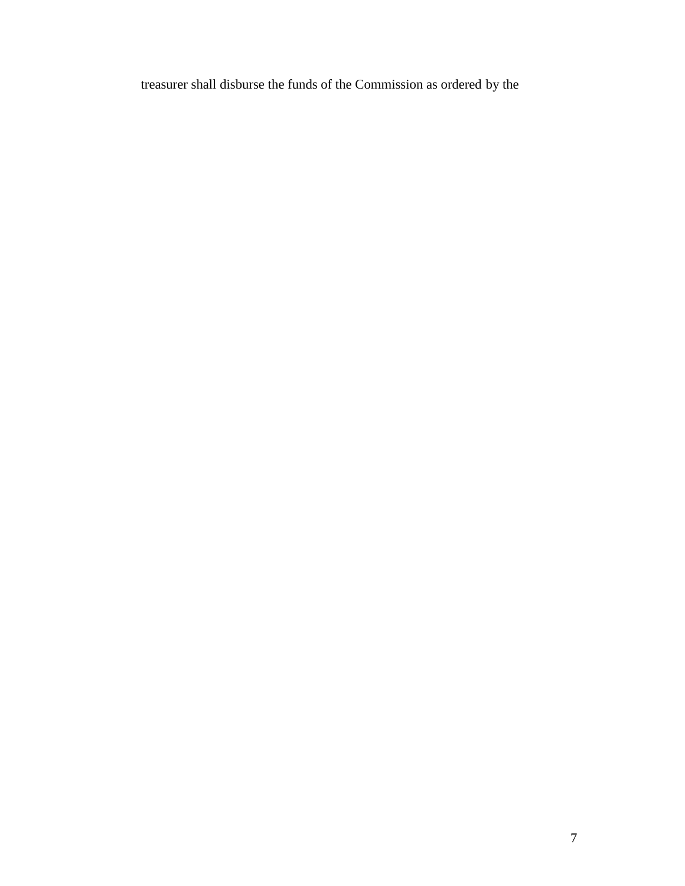treasurer shall disburse the funds of the Commission as ordered by the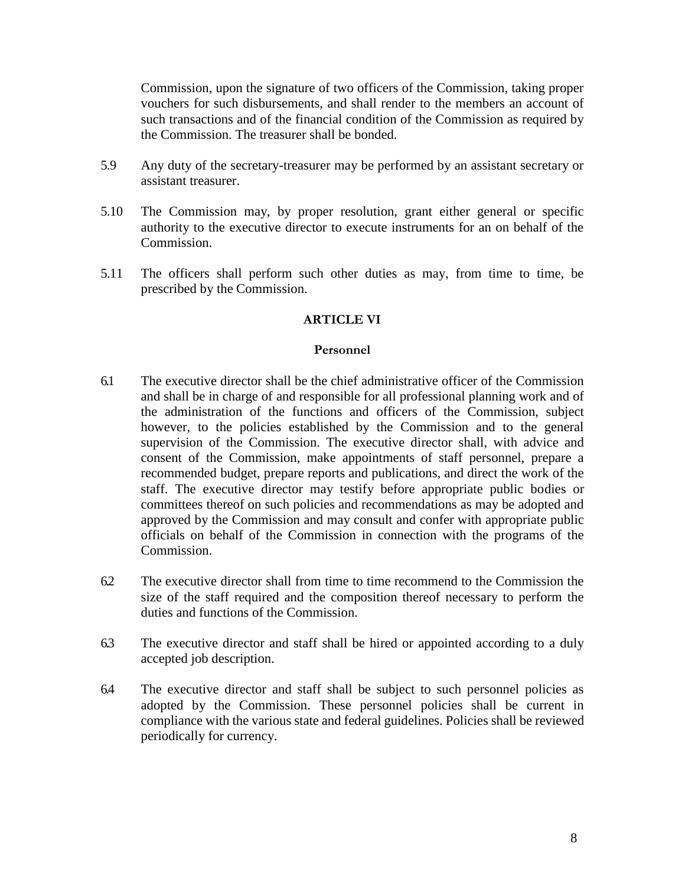Commission, upon the signature of two officers of the Commission, taking proper vouchers for such disbursements, and shall render to the members an account of such transactions and of the financial condition of the Commission as required by the Commission. The treasurer shall be bonded.

- 5.9 Any duty of the secretary-treasurer may be performed by an assistant secretary or assistant treasurer.
- 5.10 The Commission may, by proper resolution, grant either general or specific authority to the executive director to execute instruments for an on behalf of the Commission.
- 5.11 The officers shall perform such other duties as may, from time to time, be prescribed by the Commission.

## **ARTICLE VI**

### **Personnel**

- 6.1 The executive director shall be the chief administrative officer of the Commission and shall be in charge of and responsible for all professional planning work and of the administration of the functions and officers of the Commission, subject however, to the policies established by the Commission and to the general supervision of the Commission. The executive director shall, with advice and consent of the Commission, make appointments of staff personnel, prepare a recommended budget, prepare reports and publications, and direct the work of the staff. The executive director may testify before appropriate public bodies or committees thereof on such policies and recommendations as may be adopted and approved by the Commission and may consult and confer with appropriate public officials on behalf of the Commission in connection with the programs of the Commission.
- 6.2 The executive director shall from time to time recommend to the Commission the size of the staff required and the composition thereof necessary to perform the duties and functions of the Commission.
- 6.3 The executive director and staff shall be hired or appointed according to a duly accepted job description.
- 6.4 The executive director and staff shall be subject to such personnel policies as adopted by the Commission. These personnel policies shall be current in compliance with the various state and federal guidelines. Policies shall be reviewed periodically for currency.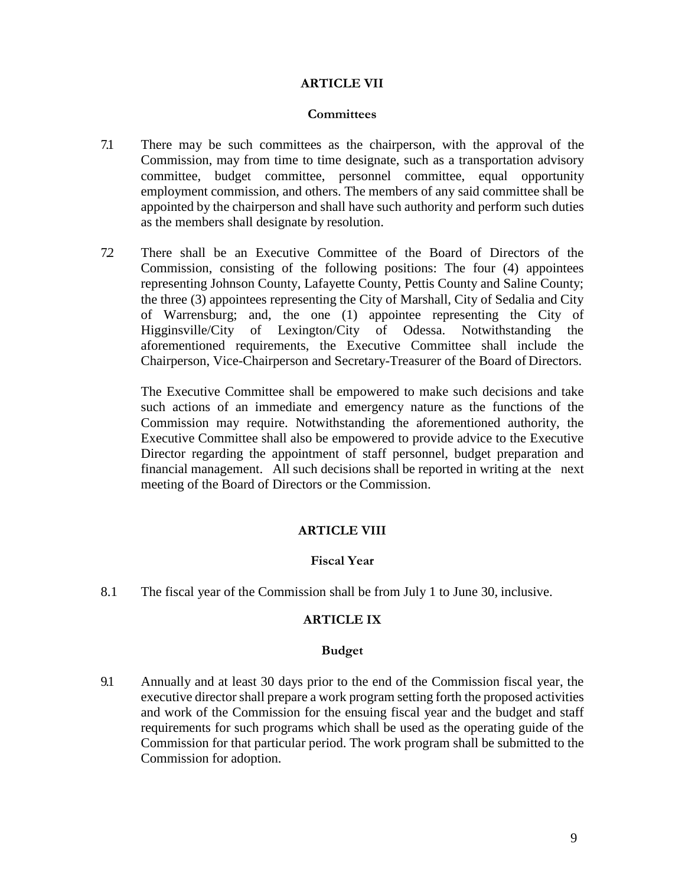## **ARTICLE VII**

#### **Committees**

- 7.1 There may be such committees as the chairperson, with the approval of the Commission, may from time to time designate, such as a transportation advisory committee, budget committee, personnel committee, equal opportunity employment commission, and others. The members of any said committee shall be appointed by the chairperson and shall have such authority and perform such duties as the members shall designate by resolution.
- 7.2 There shall be an Executive Committee of the Board of Directors of the Commission, consisting of the following positions: The four (4) appointees representing Johnson County, Lafayette County, Pettis County and Saline County; the three (3) appointees representing the City of Marshall, City of Sedalia and City of Warrensburg; and, the one (1) appointee representing the City of Higginsville/City of Lexington/City of Odessa. Notwithstanding the aforementioned requirements, the Executive Committee shall include the Chairperson, Vice-Chairperson and Secretary-Treasurer of the Board of Directors.

The Executive Committee shall be empowered to make such decisions and take such actions of an immediate and emergency nature as the functions of the Commission may require. Notwithstanding the aforementioned authority, the Executive Committee shall also be empowered to provide advice to the Executive Director regarding the appointment of staff personnel, budget preparation and financial management. All such decisions shall be reported in writing at the next meeting of the Board of Directors or the Commission.

### **ARTICLE VIII**

### **Fiscal Year**

8.1 The fiscal year of the Commission shall be from July 1 to June 30, inclusive.

### **ARTICLE IX**

### **Budget**

9.1 Annually and at least 30 days prior to the end of the Commission fiscal year, the executive director shall prepare a work program setting forth the proposed activities and work of the Commission for the ensuing fiscal year and the budget and staff requirements for such programs which shall be used as the operating guide of the Commission for that particular period. The work program shall be submitted to the Commission for adoption.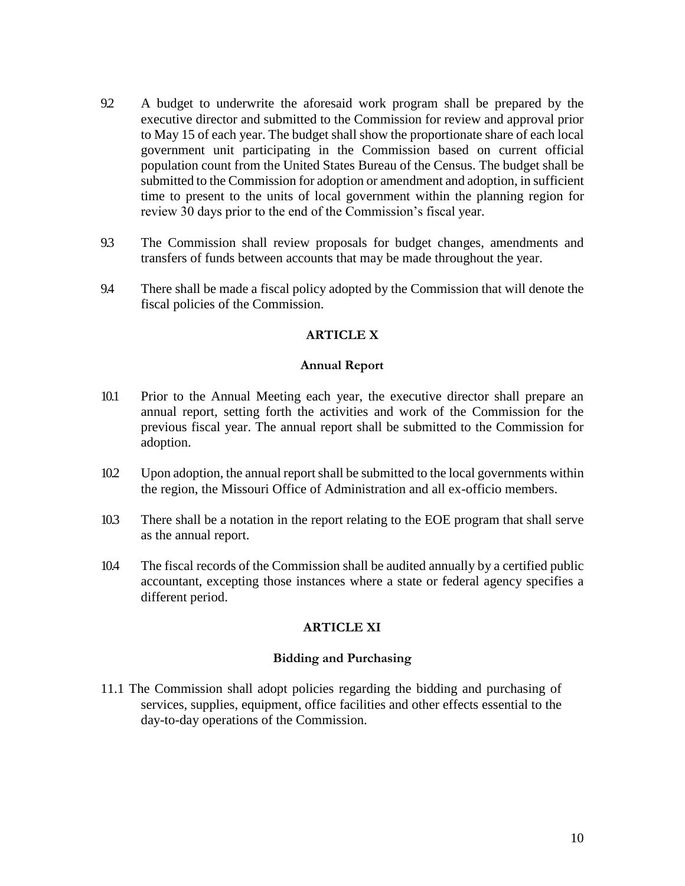- 9.2 A budget to underwrite the aforesaid work program shall be prepared by the executive director and submitted to the Commission for review and approval prior to May 15 of each year. The budget shall show the proportionate share of each local government unit participating in the Commission based on current official population count from the United States Bureau of the Census. The budget shall be submitted to the Commission for adoption or amendment and adoption, in sufficient time to present to the units of local government within the planning region for review 30 days prior to the end of the Commission's fiscal year.
- 9.3 The Commission shall review proposals for budget changes, amendments and transfers of funds between accounts that may be made throughout the year.
- 9.4 There shall be made a fiscal policy adopted by the Commission that will denote the fiscal policies of the Commission.

# **ARTICLE X**

### **Annual Report**

- 10.1 Prior to the Annual Meeting each year, the executive director shall prepare an annual report, setting forth the activities and work of the Commission for the previous fiscal year. The annual report shall be submitted to the Commission for adoption.
- 10.2 Upon adoption, the annual report shall be submitted to the local governments within the region, the Missouri Office of Administration and all ex-officio members.
- 10.3 There shall be a notation in the report relating to the EOE program that shall serve as the annual report.
- 10.4 The fiscal records of the Commission shall be audited annually by a certified public accountant, excepting those instances where a state or federal agency specifies a different period.

## **ARTICLE XI**

## **Bidding and Purchasing**

11.1 The Commission shall adopt policies regarding the bidding and purchasing of services, supplies, equipment, office facilities and other effects essential to the day-to-day operations of the Commission.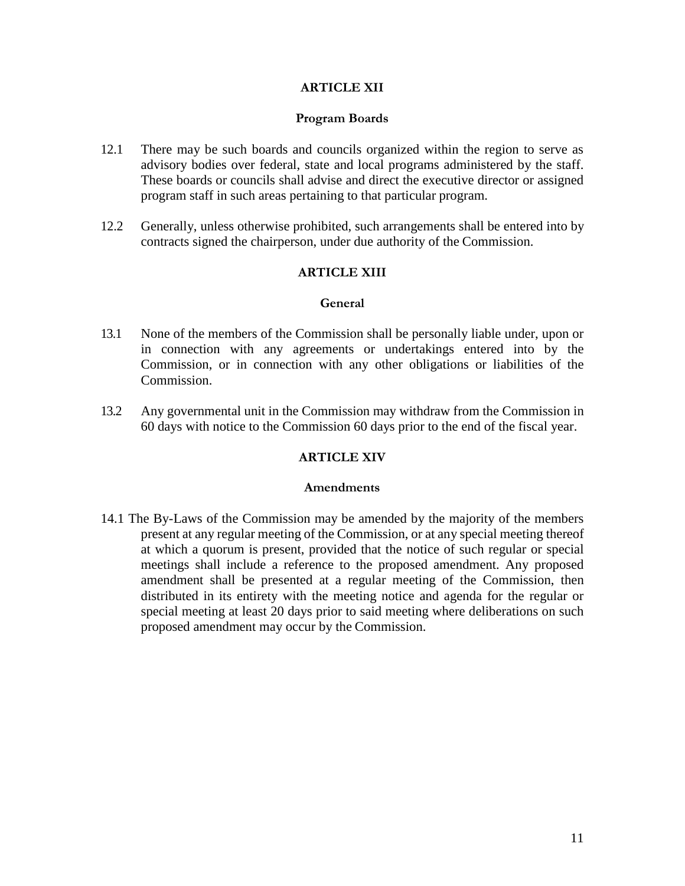### **ARTICLE XII**

#### **Program Boards**

- 12.1 There may be such boards and councils organized within the region to serve as advisory bodies over federal, state and local programs administered by the staff. These boards or councils shall advise and direct the executive director or assigned program staff in such areas pertaining to that particular program.
- 12.2 Generally, unless otherwise prohibited, such arrangements shall be entered into by contracts signed the chairperson, under due authority of the Commission.

### **ARTICLE XIII**

#### **General**

- 13.1 None of the members of the Commission shall be personally liable under, upon or in connection with any agreements or undertakings entered into by the Commission, or in connection with any other obligations or liabilities of the Commission.
- 13.2 Any governmental unit in the Commission may withdraw from the Commission in 60 days with notice to the Commission 60 days prior to the end of the fiscal year.

### **ARTICLE XIV**

#### **Amendments**

14.1 The By-Laws of the Commission may be amended by the majority of the members present at any regular meeting of the Commission, or at any special meeting thereof at which a quorum is present, provided that the notice of such regular or special meetings shall include a reference to the proposed amendment. Any proposed amendment shall be presented at a regular meeting of the Commission, then distributed in its entirety with the meeting notice and agenda for the regular or special meeting at least 20 days prior to said meeting where deliberations on such proposed amendment may occur by the Commission.